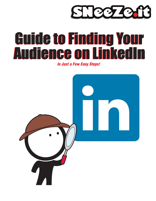

# Guide to Finding Your Guide to Finding Your Audience on LinkedIn Audience on LinkedIn

*In Just a Few Easy Steps!*

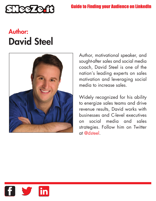

## **Author: David Steel**



Author, motivational speaker, and sought-after sales and social media coach, David Steel is one of the nation's leading experts on sales motivation and leveraging social media to increase sales.

Widely recognized for his ability to energize sales teams and drive revenue results, David works with businesses and C-level executives on social media and sales strategies. Follow him on Twitter at [@dsteel.](https://twitter.com/dsteel)

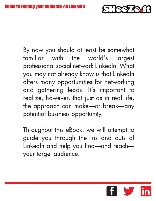

By now you should at least be somewhat familiar with the world's largest professional social network LinkedIn. What you may not already know is that LinkedIn offers many opportunities for networking and gathering leads. It's important to realize, however, that just as in real life, the approach can make—or break—any potential business opportunity.

Throughout this eBook, we will attempt to guide you through the ins and outs of LinkedIn and help you find—and reach your target audience.

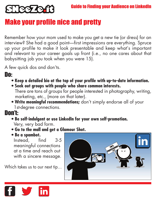

## Make your profile nice and pretty

Remember how your mom used to make you get a new tie (or dress) for an interview? She had a good point—first impressions are everything. Spruce up your profile to make it look presentable and keep what's important and relevant to your career goals up front (i.e., no one cares about that babysitting job you took when you were 15).

A few quick dos and don'ts.

Do:

- **• Keep a detailed bio at the top of your profile with up-to-date information.**
- **Seek out groups with people who share common interests.** There are tons of groups for people interested in photography, writing, marketing, etc., (more on that later).
- **Write meaningful recommendations;** don't simply endorse all of your 1st-degree connections.

### Don't:

- **Be self-indulgent or use LinkedIn for your own self-promotion.** Very, very bad form.
- **Go to the mall and get a Glamour Shot.**
- **Be a spambot.**

Instead, find 3-5 meaningful connections at a time and reach out with a sincere message.

Which takes us to our next tip…



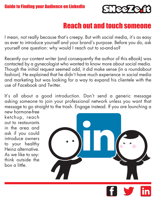

## Reach out and touch someone

I mean, not really because that's creepy. But with social media, it's as easy as ever to introduce yourself and your brand's purpose. Before you do, ask yourself one question: why would I reach out to so-and-so?

Recently our content writer (and consequently the author of this eBook) was contacted by a gynecologist who wanted to know more about social media. Though the initial request seemed odd, it did make sense (in a roundabout fashion). He explained that he didn't have much experience in social media and marketing but was looking for a way to expand his clientele with the use of Facebook and Twitter.

It's all about a good introduction. Don't send a generic message asking someone to join your professional network unless you want that message to go straight to the trash. Engage instead. If you are launching a

new hormone-free ketchup, reach out to restaurants in the area and ask if you could introduce owners to your healthy Heinz alternative. As we like to say: think outside the box a little.

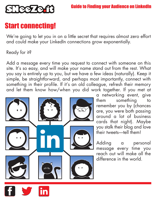

## Start connecting!

We're going to let you in on a little secret that requires almost zero effort and could make your LinkedIn connections grow exponentially.

#### Ready for it?

Add a message every time you request to connect with someone on this site. It's so easy, and will make your name stand out from the rest. What you say is entirely up to you, but we have a few ideas (naturally). Keep it simple, be straightforward, and perhaps most importantly, connect with something in their profile. If it's an old colleague, refresh their memory and let them know how/when you did work together. If you met at



a networking event, give them something to remember you by (chances are, you were both passing around a lot of business cards that night). Maybe you stalk their blog and love their tweets—tell them!

Adding a personal message every time you reach out will make all the difference in the world.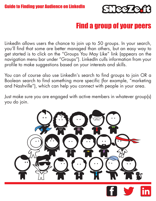

## Find a group of your peers

LinkedIn allows users the chance to join up to 50 groups. In your search, you'll find that some are better managed than others, but an easy way to get started is to click on the "Groups You May Like" link (appears on the navigation menu bar under "Groups"). LinkedIn culls information from your profile to make suggestions based on your interests and skills.

You can of course also use LinkedIn's search to find groups to join OR a Boolean search to find something more specific (for example, "marketing and Nashville"), which can help you connect with people in your area.

Just make sure you are engaged with active members in whatever group(s) you do join.



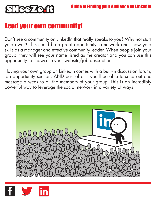

## Lead your own community!

Don't see a community on LinkedIn that really speaks to you? Why not start your own?! This could be a great opportunity to network and show your skills as a manager and effective community leader. When people join your group, they will see your name listed as the creator and you can use this opportunity to showcase your website/job description.

Having your own group on LinkedIn comes with a built-in discussion forum, job opportunity section, AND best of all—you'll be able to send out one message a week to all the members of your group. This is an incredibly powerful way to leverage the social network in a variety of ways!



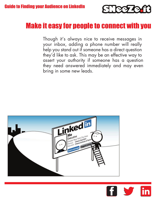

## Make it easy for people to connect with you

Though it's always nice to receive messages in your inbox, adding a phone number will really help you stand out if someone has a direct question they'd like to ask. This may be an effective way to assert your authority if someone has a question they need answered immediately and may even bring in some new leads.